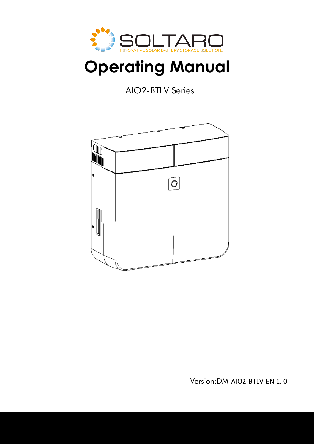

# **Operating Manual**

AIO2-BTLV Series



Version:DM-AIO2-BTLV-EN 1. 0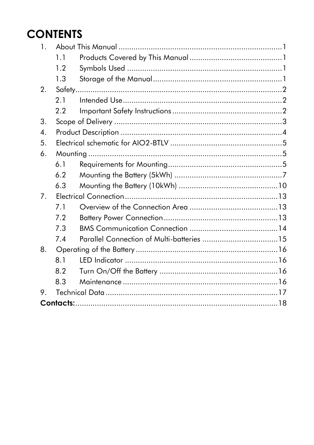## **CONTENTS**

| $\mathbf{1}$   |     |  |  |
|----------------|-----|--|--|
|                | 1.1 |  |  |
|                | 1.2 |  |  |
|                | 1.3 |  |  |
| 2.             |     |  |  |
|                | 2.1 |  |  |
|                | 2.2 |  |  |
| 3.             |     |  |  |
| 4.             |     |  |  |
| 5.             |     |  |  |
| 6.             |     |  |  |
|                | 6.1 |  |  |
|                | 6.2 |  |  |
|                | 6.3 |  |  |
| 7 <sub>1</sub> |     |  |  |
|                | 7.1 |  |  |
|                | 7.2 |  |  |
|                | 7.3 |  |  |
|                | 7.4 |  |  |
| 8.             |     |  |  |
|                | 8.1 |  |  |
|                | 8.2 |  |  |
|                | 8.3 |  |  |
| 9.             |     |  |  |
|                |     |  |  |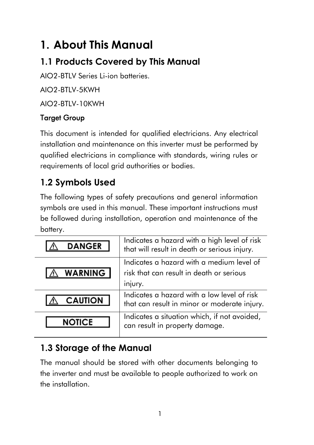## <span id="page-2-0"></span>**1. About This Manual**

## <span id="page-2-1"></span>**1.1 Products Covered by This Manual**

AIO2-BTLV Series Li-ion batteries.

AIO2-BTLV-5KWH

AIO2-BTLV-10KWH

### Target Group

This document is intended for qualified electricians. Any electrical installation and maintenance on this inverter must be performed by qualified electricians in compliance with standards, wiring rules or requirements of local grid authorities or bodies.

## <span id="page-2-2"></span>**1.2 Symbols Used**

The following types of safety precautions and general information symbols are used in this manual. These important instructions must be followed during installation, operation and maintenance of the battery.

| <b>DANGER</b>  | Indicates a hazard with a high level of risk<br>that will result in death or serious injury. |
|----------------|----------------------------------------------------------------------------------------------|
|                | Indicates a hazard with a medium level of                                                    |
| <b>WARNING</b> | risk that can result in death or serious                                                     |
|                | injury.                                                                                      |
| <b>CAUTION</b> | Indicates a hazard with a low level of risk<br>that can result in minor or moderate injury.  |
| <b>NOTICE</b>  | Indicates a situation which, if not avoided,<br>can result in property damage.               |

### <span id="page-2-3"></span>**1.3 Storage of the Manual**

The manual should be stored with other documents belonging to the inverter and must be available to people authorized to work on the installation.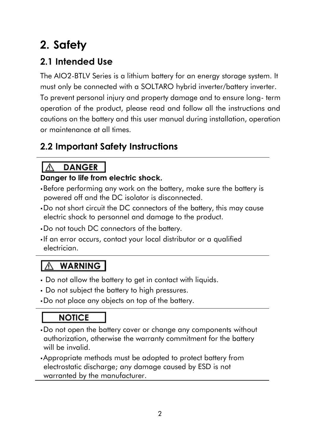## <span id="page-3-0"></span>**2. Safety**

### <span id="page-3-1"></span>**2.1 Intended Use**

The AIO2-BTLV Series is a lithium battery for an energy storage system. It must only be connected with a SOLTARO hybrid inverter/battery inverter.

To prevent personal injury and property damage and to ensure long- term operation of the product, please read and follow all the instructions and cautions on the battery and this user manual during installation, operation or maintenance at all times.

## <span id="page-3-2"></span>**2.2 Important Safety Instructions**

#### **DANGER**  $\sqrt{2}$

### **Danger to life from electric shock.**

- •Before performing any work on the battery, make sure the battery is powered off and the DC isolator is disconnected.
- •Do not short circuit the DC connectors of the battery, this may cause electric shock to personnel and damage to the product.
- •Do not touch DC connectors of the battery.
- If an error occurs, contact your local distributor or a qualified electrician.

#### ۱W **WARNING**

- Do not allow the battery to get in contact with liquids.
- Do not subject the battery to high pressures.
- •Do not place any objects on top of the battery.

## **NOTICE**

- •Do not open the battery cover or change any components without authorization, otherwise the warranty commitment for the battery will be invalid.
- •Appropriate methods must be adopted to protect battery from electrostatic discharge; any damage caused by ESD is not warranted by the manufacturer.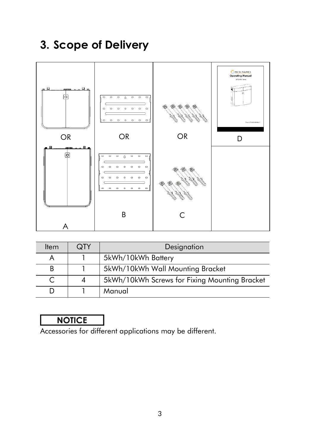## <span id="page-4-0"></span>**3. Scope of Delivery**



| <b>Item</b> | <b>QTY</b> | Designation                                   |  |
|-------------|------------|-----------------------------------------------|--|
|             |            | 5kWh/10kWh Battery                            |  |
| B           |            | 5kWh/10kWh Wall Mounting Bracket              |  |
|             |            | 5kWh/10kWh Screws for Fixing Mounting Bracket |  |
|             |            | Manual                                        |  |

## **NOTICE**

Accessories for different applications may be different.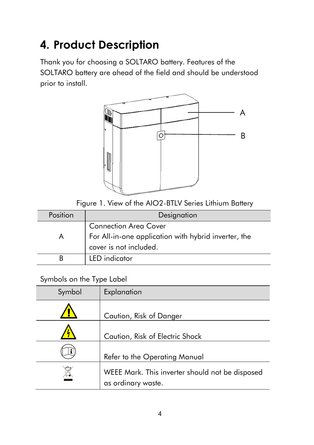## <span id="page-5-0"></span>**4. Product Description**

Thank you for choosing a SOLTARO battery. Features of the SOLTARO battery are ahead of the field and should be understood prior to install.



Figure 1. View of the AIO2-BTLV Series Lithium Battery

| Position<br>Designation |                                                      |  |
|-------------------------|------------------------------------------------------|--|
|                         | <b>Connection Area Cover</b>                         |  |
|                         | For All-in-one application with hybrid inverter, the |  |
|                         | cover is not included.                               |  |
|                         | LED indicator                                        |  |

### Symbols on the Type Label

| Symbol | Explanation                                                           |
|--------|-----------------------------------------------------------------------|
|        | Caution, Risk of Danger                                               |
|        | Caution, Risk of Electric Shock                                       |
|        | Refer to the Operating Manual                                         |
|        | WEEE Mark. This inverter should not be disposed<br>as ordinary waste. |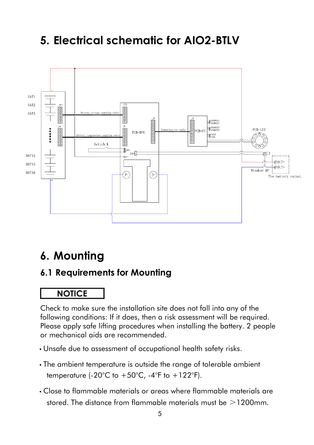## <span id="page-6-0"></span>**5. Electrical schematic for AIO2-BTLV**



## <span id="page-6-1"></span>**6. Mounting**

### <span id="page-6-2"></span>**6.1 Requirements for Mounting**

### **NOTICE**

Check to make sure the installation site does not fall into any of the following conditions: If it does, then a risk assessment will be required. Please apply safe lifting procedures when installing the battery. 2 people or mechanical aids are recommended.

- Unsafe due to assessment of occupational health safety risks.
- The ambient temperature is outside the range of tolerable ambient temperature (-20 $^{\circ}$ C to +50 $^{\circ}$ C, -4 $^{\circ}$ F to +122 $^{\circ}$ F).
- Close to flammable materials or areas where flammable materials are stored. The distance from flammable materials must be  $>$ 1200mm.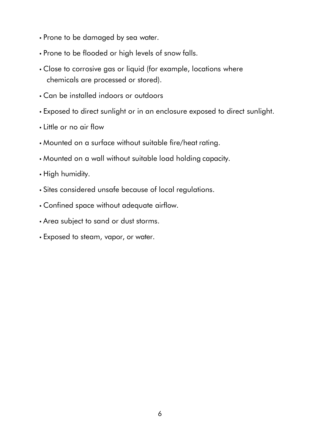- Prone to be damaged by sea water.
- Prone to be flooded or high levels of snow falls.
- Close to corrosive gas or liquid (for example, locations where chemicals are processed or stored).
- Can be installed indoors or outdoors
- Exposed to direct sunlight or in an enclosure exposed to direct sunlight.
- Little or no air flow
- Mounted on a surface without suitable fire/heat rating.
- Mounted on a wall without suitable load holding capacity.
- High humidity.
- Sites considered unsafe because of local regulations.
- Confined space without adequate airflow.
- Area subject to sand or dust storms.
- Exposed to steam, vapor, or water.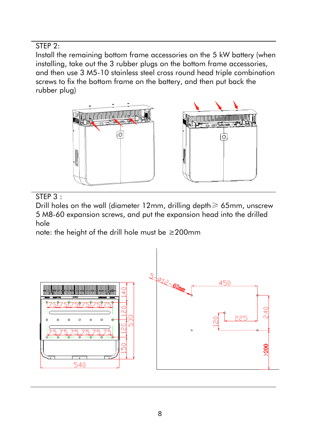STEP<sub>2:</sub>

Install the remaining bottom frame accessories on the 5 kW battery (when installing, take out the 3 rubber plugs on the bottom frame accessories, and then use 3 M5-10 stainless steel cross round head triple combination screws to fix the bottom frame on the battery, and then put back the rubber plug)





STEP 3 :

Drill holes on the wall (diameter 12mm, drilling depth≥ 65mm, unscrew 5 M8-60 expansion screws, and put the expansion head into the drilled hole

note: the height of the drill hole must be ≥200mm

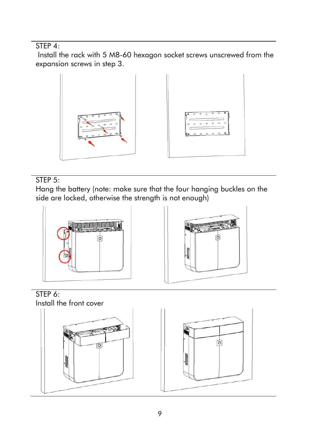STEP 4:

Install the rack with 5 M8-60 hexagon socket screws unscrewed from the expansion screws in step 3.



### STEP<sub>5:</sub>

Hang the battery (note: make sure that the four hanging buckles on the side are locked, otherwise the strength is not enough)



STEP 6: Install the front cover



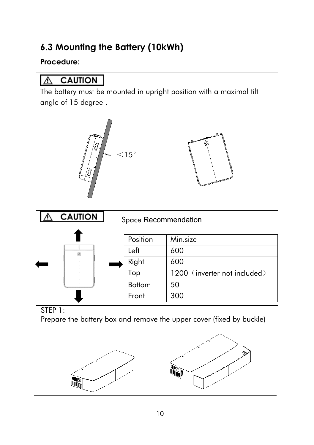### <span id="page-11-0"></span>**6.3 Mounting the Battery (10kWh)**

### **Procedure:**

#### **CAUTION** ∧

The battery must be mounted in upright position with a maximal tilt angle of 15 degree .



STEP 1:

Prepare the battery box and remove the upper cover (fixed by buckle)

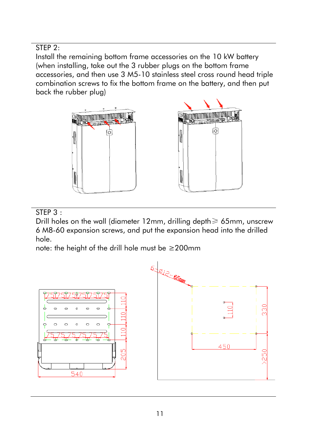STEP 2:

Install the remaining bottom frame accessories on the 10 kW battery (when installing, take out the 3 rubber plugs on the bottom frame accessories, and then use 3 M5-10 stainless steel cross round head triple combination screws to fix the bottom frame on the battery, and then put back the rubber plug)



STEP 3 :

Drill holes on the wall (diameter 12mm, drilling depth≥ 65mm, unscrew 6 M8-60 expansion screws, and put the expansion head into the drilled hole.

note: the height of the drill hole must be ≥200mm

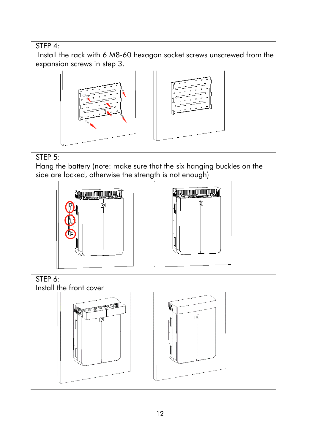STEP 4:

Install the rack with 6 M8-60 hexagon socket screws unscrewed from the expansion screws in step 3.



### STEP<sub>5</sub>:

Hang the battery (note: make sure that the six hanging buckles on the side are locked, otherwise the strength is not enough)







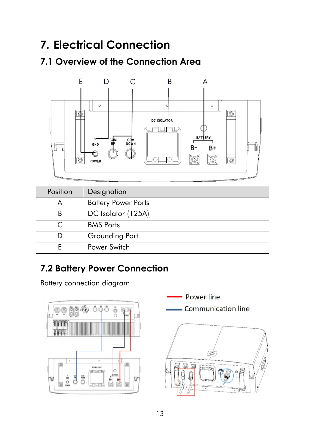## <span id="page-14-0"></span>**7. Electrical Connection**

## <span id="page-14-1"></span>**7.1 Overview of the Connection Area**



| <b>Position</b> | Designation                |
|-----------------|----------------------------|
|                 | <b>Battery Power Ports</b> |
|                 | DC Isolator (125A)         |
|                 | <b>BMS</b> Ports           |
|                 | Grounding Port             |
|                 | Power Switch               |

## <span id="page-14-2"></span>**7.2 Battery Power Connection**

Battery connection diagram

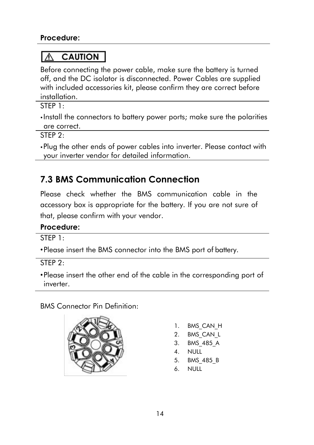#### **CAUTION** ∧

Before connecting the power cable, make sure the battery is turned off, and the DC isolator is disconnected. Power Cables are supplied with included accessories kit, please confirm they are correct before installation.

STEP 1:

• Install the connectors to battery power ports; make sure the polarities are correct.

STEP 2:

•Plug the other ends of power cables into inverter. Please contact with your inverter vendor for detailed information.

## <span id="page-15-0"></span>**7.3 BMS Communication Connection**

Please check whether the BMS communication cable in the accessory box is appropriate for the battery. If you are not sure of that, please confirm with your vendor.

### **Procedure:**

STEP 1:

•Please insert the BMS connector into the BMS port of battery.

STEP 2:

•Please insert the other end of the cable in the corresponding port of inverter.

BMS Connector Pin Definition:



- 1. BMS CAN H
- 2. BMS\_CAN\_L
- 3. BMS\_485\_A
- 4. NULL
- 5. BMS\_485\_B
- 6. NULL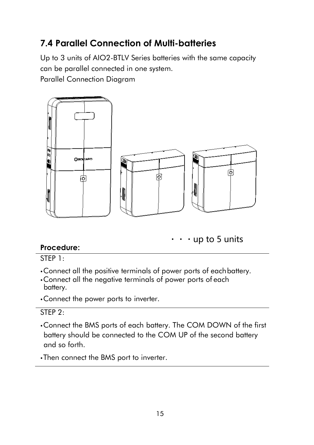### <span id="page-16-0"></span>**7.4 Parallel Connection of Multi-batteries**

Up to 3 units of AIO2-BTLV Series batteries with the same capacity can be parallel connected in one system.

Parallel Connection Diagram



 $\cdot$  up to 5 units

### **Procedure:**

STEP 1:

- •Connect all the positive terminals of power ports of eachbattery.
- •Connect all the negative terminals of power ports of each battery.
- •Connect the power ports to inverter.

### STEP<sub>2</sub>:

•Connect the BMS ports of each battery. The COM DOWN of the first battery should be connected to the COM UP of the second battery and so forth.

•Then connect the BMS port to inverter.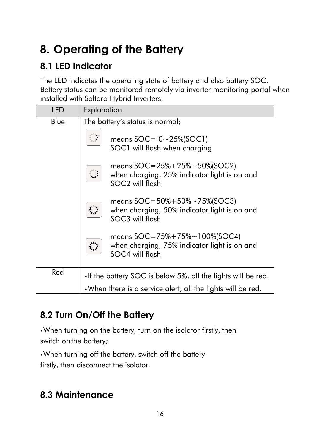## <span id="page-17-0"></span>**8. Operating of the Battery**

### <span id="page-17-1"></span>**8.1 LED Indicator**

The LED indicates the operating state of battery and also battery SOC. Battery status can be monitored remotely via inverter monitoring portal when installed with Soltaro Hybrid Inverters.

| LED  | Explanation                                                   |                                                                                                                        |  |
|------|---------------------------------------------------------------|------------------------------------------------------------------------------------------------------------------------|--|
| Blue |                                                               | The battery's status is normal;                                                                                        |  |
|      |                                                               | means $SOC = 0 \sim 25\% (SOC1)$<br>SOC1 will flash when charging                                                      |  |
|      |                                                               | means $SOC = 25% + 25% \sim 50%$ (SOC2)<br>when charging, 25% indicator light is on and<br>SOC <sub>2</sub> will flash |  |
|      |                                                               | means $SOC = 50\% + 50\% \sim 75\%$ (SOC3)<br>when charging, 50% indicator light is on and<br>SOC3 will flash          |  |
|      |                                                               | means $SOC = 75% + 75% \sim 100%$ (SOC4)<br>when charging, 75% indicator light is on and<br>SOC4 will flash            |  |
| Red  | • If the battery SOC is below 5%, all the lights will be red. |                                                                                                                        |  |
|      |                                                               | . When there is a service alert, all the lights will be red.                                                           |  |

### <span id="page-17-2"></span>**8.2 Turn On/Off the Battery**

•When turning on the battery, turn on the isolator firstly, then switch on the battery;

•When turning off the battery, switch off the battery firstly, then disconnect the isolator.

### <span id="page-17-3"></span>**8.3 Maintenance**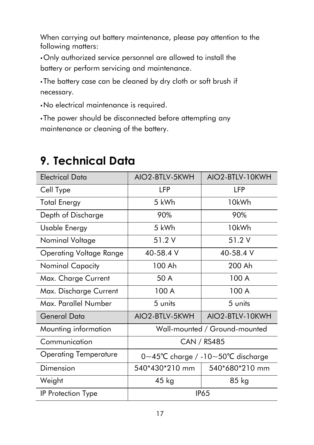When carrying out battery maintenance, please pay attention to the following matters:

•Only authorized service personnel are allowed to install the battery or perform servicing and maintenance.

•The battery case can be cleaned by dry cloth or soft brush if necessary.

•No electrical maintenance is required.

•The power should be disconnected before attempting any maintenance or cleaning of the battery.

| <b>Electrical Data</b>       | AIO2-BTLV-5KWH                                                      | AIO <sub>2</sub> -BTLV-10KWH |
|------------------------------|---------------------------------------------------------------------|------------------------------|
| Cell Type                    | LFP                                                                 | LFP                          |
| <b>Total Energy</b>          | 5 kWh                                                               | 10kWh                        |
| Depth of Discharge           | 90%                                                                 | 90%                          |
| Usable Energy                | 5 kWh                                                               | 10kWh                        |
| Nominal Voltage              | 51.2 V                                                              | 51.2 V                       |
| Operating Voltage Range      | 40-58.4 V                                                           | 40-58.4 V                    |
| Nominal Capacity             | 100 Ah                                                              | 200 Ah                       |
| Max. Charge Current          | 50 A                                                                | 100 A                        |
| Max. Discharge Current       | 100 A                                                               | 100 A                        |
| Max. Parallel Number         | 5 units                                                             | 5 units                      |
| General Data                 | AIO2-BTLV-5KWH                                                      | AIO2-BTLV-10KWH              |
| Mounting information         | Wall-mounted / Ground-mounted                                       |                              |
| Communication                | <b>CAN / RS485</b>                                                  |                              |
| <b>Operating Temperature</b> | $0 \sim 45^{\circ}$ C charge / -10 $\sim$ 50 $^{\circ}$ C discharge |                              |
| Dimension                    | 540*430*210 mm                                                      | 540*680*210 mm               |
| Weight                       | $45$ kg                                                             | 85 kg                        |
| IP Protection Type           | <b>IP65</b>                                                         |                              |

## <span id="page-18-0"></span>**9. Technical Data**